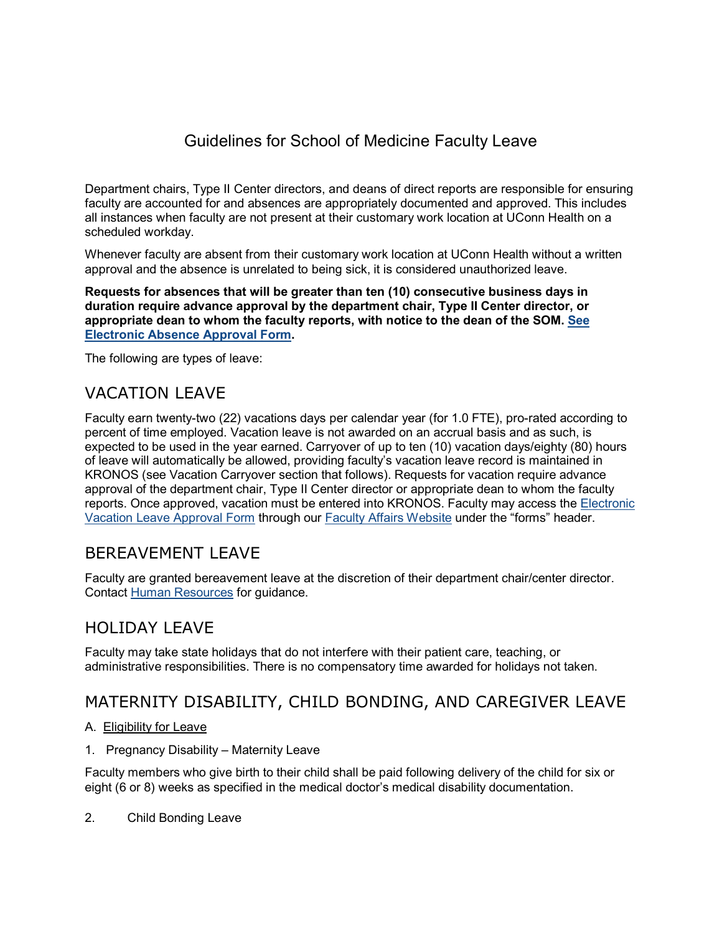# Guidelines for School of Medicine Faculty Leave

Department chairs, Type II Center directors, and deans of direct reports are responsible for ensuring faculty are accounted for and absences are appropriately documented and approved. This includes all instances when faculty are not present at their customary work location at UConn Health on a scheduled workday.

Whenever faculty are absent from their customary work location at UConn Health without a written approval and the absence is unrelated to being sick, it is considered unauthorized leave.

**Requests for absences that will be greater than ten (10) consecutive business days in duration require advance approval by the department chair, Type II Center director, or appropriate dean to whom the faculty reports, with notice to the dean of the SOM. [See](https://health.uconn.edu/faculty-affairs/absence-approval-form/)  [Electronic Absence Approval Form.](https://health.uconn.edu/faculty-affairs/absence-approval-form/)**

The following are types of leave:

## VACATION LEAVE

Faculty earn twenty-two (22) vacations days per calendar year (for 1.0 FTE), pro-rated according to percent of time employed. Vacation leave is not awarded on an accrual basis and as such, is expected to be used in the year earned. Carryover of up to ten (10) vacation days/eighty (80) hours of leave will automatically be allowed, providing faculty's vacation leave record is maintained in KRONOS (see Vacation Carryover section that follows). Requests for vacation require advance approval of the department chair, Type II Center director or appropriate dean to whom the faculty reports. Once approved, vacation must be entered into KRONOS. Faculty may access the [Electronic](https://health.uconn.edu/faculty-affairs/vacation-leave-approval-form/)  [Vacation Leave Approval Form](https://health.uconn.edu/faculty-affairs/vacation-leave-approval-form/) through our [Faculty Affairs Website](https://health.uconn.edu/faculty-affairs/) under the "forms" header.

## BEREAVEMENT LEAVE

Faculty are granted bereavement leave at the discretion of their department chair/center director. Contact [Human Resources](https://health.uconn.edu/human-resources/contacts/) for guidance.

## HOLIDAY LEAVE

Faculty may take state holidays that do not interfere with their patient care, teaching, or administrative responsibilities. There is no compensatory time awarded for holidays not taken.

## MATERNITY DISABILITY, CHILD BONDING, AND CAREGIVER LEAVE

### A. Eligibility for Leave

1. Pregnancy Disability – Maternity Leave

Faculty members who give birth to their child shall be paid following delivery of the child for six or eight (6 or 8) weeks as specified in the medical doctor's medical disability documentation.

2. Child Bonding Leave